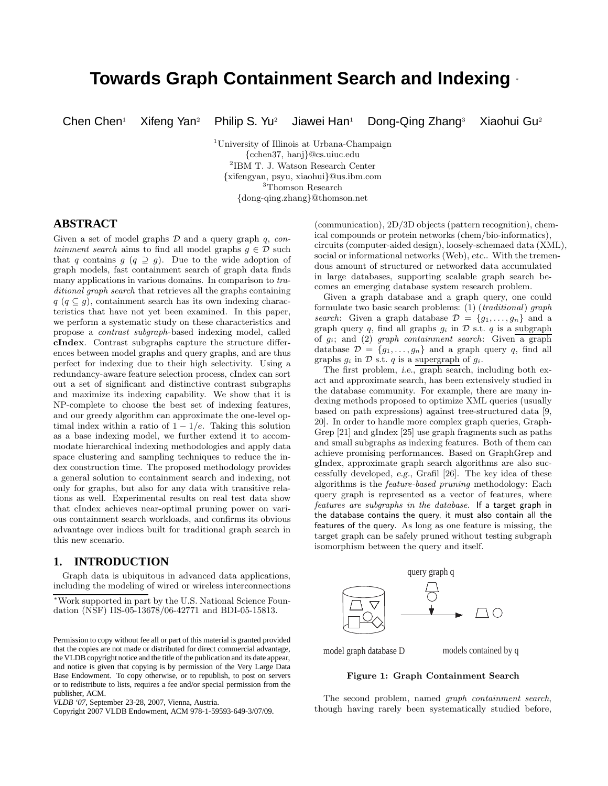# **Towards Graph Containment Search and Indexing** <sup>∗</sup>

Chen Chen<sup>1</sup> Xifeng Yan<sup>2</sup> Philip S. Yu<sup>2</sup> Jiawei Han<sup>1</sup> Dong-Qing Zhang<sup>3</sup> Xiaohui Gu<sup>2</sup>

<sup>1</sup>University of Illinois at Urbana-Champaign {cchen37, hanj}@cs.uiuc.edu 2 IBM T. J. Watson Research Center {xifengyan, psyu, xiaohui}@us.ibm.com  $^3\mathrm{T}$ homson Research {dong-qing.zhang}@thomson.net

# **ABSTRACT**

Given a set of model graphs  $D$  and a query graph q, containment search aims to find all model graphs  $g \in \mathcal{D}$  such that q contains  $g\ (q\supseteq g)$ . Due to the wide adoption of graph models, fast containment search of graph data finds many applications in various domains. In comparison to traditional graph search that retrieves all the graphs containing  $q$  ( $q \subseteq g$ ), containment search has its own indexing characteristics that have not yet been examined. In this paper, we perform a systematic study on these characteristics and propose a contrast subgraph-based indexing model, called cIndex. Contrast subgraphs capture the structure differences between model graphs and query graphs, and are thus perfect for indexing due to their high selectivity. Using a redundancy-aware feature selection process, cIndex can sort out a set of significant and distinctive contrast subgraphs and maximize its indexing capability. We show that it is NP-complete to choose the best set of indexing features, and our greedy algorithm can approximate the one-level optimal index within a ratio of  $1 - 1/e$ . Taking this solution as a base indexing model, we further extend it to accommodate hierarchical indexing methodologies and apply data space clustering and sampling techniques to reduce the index construction time. The proposed methodology provides a general solution to containment search and indexing, not only for graphs, but also for any data with transitive relations as well. Experimental results on real test data show that cIndex achieves near-optimal pruning power on various containment search workloads, and confirms its obvious advantage over indices built for traditional graph search in this new scenario.

# **1. INTRODUCTION**

Graph data is ubiquitous in advanced data applications, including the modeling of wired or wireless interconnections

(communication), 2D/3D objects (pattern recognition), chemical compounds or protein networks (chem/bio-informatics), circuits (computer-aided design), loosely-schemaed data (XML), social or informational networks (Web), etc.. With the tremendous amount of structured or networked data accumulated in large databases, supporting scalable graph search becomes an emerging database system research problem.

Given a graph database and a graph query, one could formulate two basic search problems:  $(1)$  (traditional) graph search: Given a graph database  $\mathcal{D} = \{g_1, \ldots, g_n\}$  and a graph query q, find all graphs  $g_i$  in  $\mathcal D$  s.t. q is a subgraph of  $g_i$ ; and (2) graph containment search: Given a graph database  $\mathcal{D} = \{g_1, \ldots, g_n\}$  and a graph query q, find all graphs  $g_i$  in  $\mathcal D$  s.t.  $q$  is a supergraph of  $g_i$ .

The first problem, i.e., graph search, including both exact and approximate search, has been extensively studied in the database community. For example, there are many indexing methods proposed to optimize XML queries (usually based on path expressions) against tree-structured data [9, 20]. In order to handle more complex graph queries, Graph-Grep [21] and gIndex [25] use graph fragments such as paths and small subgraphs as indexing features. Both of them can achieve promising performances. Based on GraphGrep and gIndex, approximate graph search algorithms are also successfully developed, e.g., Grafil [26]. The key idea of these algorithms is the feature-based pruning methodology: Each query graph is represented as a vector of features, where features are subgraphs in the database. If a target graph in the database contains the query, it must also contain all the features of the query. As long as one feature is missing, the target graph can be safely pruned without testing subgraph isomorphism between the query and itself.



model graph database D

models contained by q

#### Figure 1: Graph Containment Search

The second problem, named graph containment search, though having rarely been systematically studied before,

<sup>∗</sup>Work supported in part by the U.S. National Science Foundation (NSF) IIS-05-13678/06-42771 and BDI-05-15813.

Permission to copy without fee all or part of this material is granted provided that the copies are not made or distributed for direct commercial advantage, the VLDB copyright notice and the title of the publication and its date appear, and notice is given that copying is by permission of the Very Large Data Base Endowment. To copy otherwise, or to republish, to post on servers or to redistribute to lists, requires a fee and/or special permission from the publisher, ACM.

*VLDB '07,* September 23-28, 2007, Vienna, Austria.

Copyright 2007 VLDB Endowment, ACM 978-1-59593-649-3/07/09.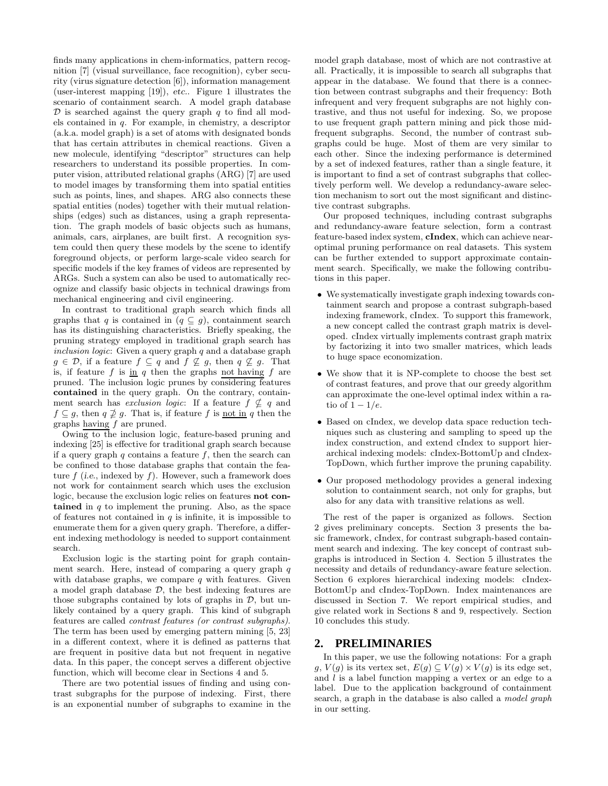finds many applications in chem-informatics, pattern recognition [7] (visual surveillance, face recognition), cyber security (virus signature detection [6]), information management (user-interest mapping [19]), etc.. Figure 1 illustrates the scenario of containment search. A model graph database  $\mathcal D$  is searched against the query graph q to find all models contained in q. For example, in chemistry, a descriptor (a.k.a. model graph) is a set of atoms with designated bonds that has certain attributes in chemical reactions. Given a new molecule, identifying "descriptor" structures can help researchers to understand its possible properties. In computer vision, attributed relational graphs (ARG) [7] are used to model images by transforming them into spatial entities such as points, lines, and shapes. ARG also connects these spatial entities (nodes) together with their mutual relationships (edges) such as distances, using a graph representation. The graph models of basic objects such as humans, animals, cars, airplanes, are built first. A recognition system could then query these models by the scene to identify foreground objects, or perform large-scale video search for specific models if the key frames of videos are represented by ARGs. Such a system can also be used to automatically recognize and classify basic objects in technical drawings from mechanical engineering and civil engineering.

In contrast to traditional graph search which finds all graphs that q is contained in  $(q \subseteq g)$ , containment search has its distinguishing characteristics. Briefly speaking, the pruning strategy employed in traditional graph search has inclusion logic: Given a query graph  $q$  and a database graph  $g \in \mathcal{D}$ , if a feature  $f \subseteq g$  and  $f \nsubseteq g$ , then  $g \nsubseteq g$ . That is, if feature  $f$  is  $\underline{\text{in}}$   $q$  then the graphs not having  $f$  are pruned. The inclusion logic prunes by considering features contained in the query graph. On the contrary, containment search has *exclusion logic*: If a feature  $f \nsubseteq q$  and  $f \subseteq g$ , then  $q \not\supseteq g$ . That is, if feature f is <u>not in</u> q then the graphs  $\frac{\text{having } f}{\text{ are pruned.}}$ 

Owing to the inclusion logic, feature-based pruning and indexing [25] is effective for traditional graph search because if a query graph q contains a feature  $f$ , then the search can be confined to those database graphs that contain the feature  $f$  (i.e., indexed by  $f$ ). However, such a framework does not work for containment search which uses the exclusion logic, because the exclusion logic relies on features not contained in  $q$  to implement the pruning. Also, as the space of features not contained in  $q$  is infinite, it is impossible to enumerate them for a given query graph. Therefore, a different indexing methodology is needed to support containment search.

Exclusion logic is the starting point for graph containment search. Here, instead of comparing a query graph  $q$ with database graphs, we compare  $q$  with features. Given a model graph database  $\mathcal{D}$ , the best indexing features are those subgraphs contained by lots of graphs in  $\mathcal{D}$ , but unlikely contained by a query graph. This kind of subgraph features are called contrast features (or contrast subgraphs). The term has been used by emerging pattern mining [5, 23] in a different context, where it is defined as patterns that are frequent in positive data but not frequent in negative data. In this paper, the concept serves a different objective function, which will become clear in Sections 4 and 5.

There are two potential issues of finding and using contrast subgraphs for the purpose of indexing. First, there is an exponential number of subgraphs to examine in the model graph database, most of which are not contrastive at all. Practically, it is impossible to search all subgraphs that appear in the database. We found that there is a connection between contrast subgraphs and their frequency: Both infrequent and very frequent subgraphs are not highly contrastive, and thus not useful for indexing. So, we propose to use frequent graph pattern mining and pick those midfrequent subgraphs. Second, the number of contrast subgraphs could be huge. Most of them are very similar to each other. Since the indexing performance is determined by a set of indexed features, rather than a single feature, it is important to find a set of contrast subgraphs that collectively perform well. We develop a redundancy-aware selection mechanism to sort out the most significant and distinctive contrast subgraphs.

Our proposed techniques, including contrast subgraphs and redundancy-aware feature selection, form a contrast feature-based index system, cIndex, which can achieve nearoptimal pruning performance on real datasets. This system can be further extended to support approximate containment search. Specifically, we make the following contributions in this paper.

- We systematically investigate graph indexing towards containment search and propose a contrast subgraph-based indexing framework, cIndex. To support this framework, a new concept called the contrast graph matrix is developed. cIndex virtually implements contrast graph matrix by factorizing it into two smaller matrices, which leads to huge space economization.
- We show that it is NP-complete to choose the best set of contrast features, and prove that our greedy algorithm can approximate the one-level optimal index within a ratio of  $1 - 1/e$ .
- Based on cIndex, we develop data space reduction techniques such as clustering and sampling to speed up the index construction, and extend cIndex to support hierarchical indexing models: cIndex-BottomUp and cIndex-TopDown, which further improve the pruning capability.
- Our proposed methodology provides a general indexing solution to containment search, not only for graphs, but also for any data with transitive relations as well.

The rest of the paper is organized as follows. Section 2 gives preliminary concepts. Section 3 presents the basic framework, cIndex, for contrast subgraph-based containment search and indexing. The key concept of contrast subgraphs is introduced in Section 4. Section 5 illustrates the necessity and details of redundancy-aware feature selection. Section 6 explores hierarchical indexing models: cIndex-BottomUp and cIndex-TopDown. Index maintenances are discussed in Section 7. We report empirical studies, and give related work in Sections 8 and 9, respectively. Section 10 concludes this study.

#### **2. PRELIMINARIES**

In this paper, we use the following notations: For a graph  $g, V(g)$  is its vertex set,  $E(g) \subseteq V(g) \times V(g)$  is its edge set, and  $l$  is a label function mapping a vertex or an edge to a label. Due to the application background of containment search, a graph in the database is also called a model graph in our setting.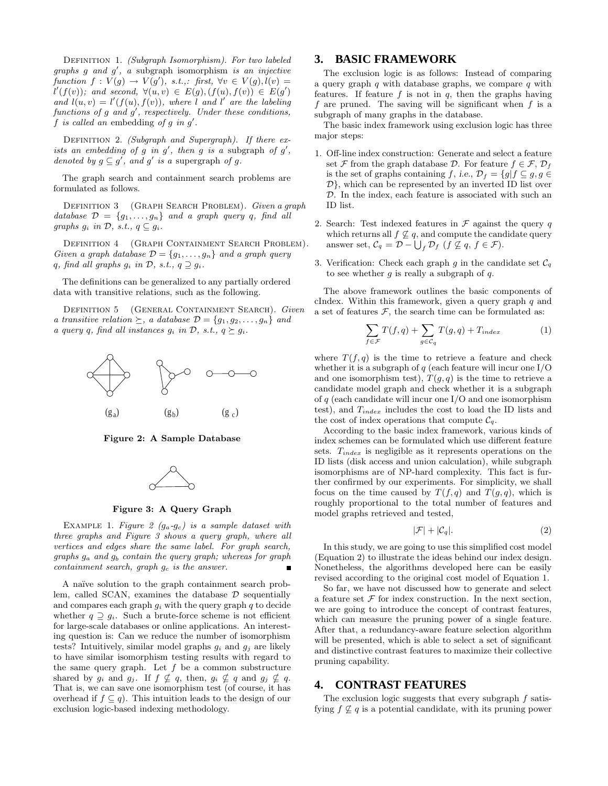DEFINITION 1. *(Subgraph Isomorphism)*. For two labeled graphs g and g ′ , a subgraph isomorphism is an injective function  $f: V(g) \to V(g')$ , s.t.,: first,  $\forall v \in V(g)$ ,  $l(v) =$  $l'(f(v))$ ; and second,  $\forall (u,v) \in E(g), (f(u), f(v)) \in E(g')$ and  $l(u, v) = l'(f(u), f(v)),$  where l and l' are the labeling functions of  $g$  and  $g'$ , respectively. Under these conditions,  $f$  is called an embedding of  $g$  in  $g'$ .

DEFINITION 2. (Subgraph and Supergraph). If there exists an embedding of  $g$  in  $g'$ , then  $g$  is a subgraph of  $g'$ , denoted by  $g \subseteq g'$ , and  $g'$  is a supergraph of g.

The graph search and containment search problems are formulated as follows.

DEFINITION 3 (GRAPH SEARCH PROBLEM). Given a graph database  $\mathcal{D} = \{g_1, \ldots, g_n\}$  and a graph query q, find all graphs  $g_i$  in  $\mathcal{D}$ , s.t.,  $q \subseteq g_i$ .

DEFINITION 4 (GRAPH CONTAINMENT SEARCH PROBLEM). Given a graph database  $\mathcal{D} = \{g_1, \ldots, g_n\}$  and a graph query q, find all graphs  $g_i$  in  $\mathcal{D}$ , s.t.,  $q \supseteq g_i$ .

The definitions can be generalized to any partially ordered data with transitive relations, such as the following.

DEFINITION 5 (GENERAL CONTAINMENT SEARCH). Given a transitive relation  $\succeq$ , a database  $\mathcal{D} = \{g_1, g_2, \ldots, g_n\}$  and a query q, find all instances  $g_i$  in  $\mathcal{D}$ , s.t.,  $q \succeq g_i$ .



Figure 2: A Sample Database



Figure 3: A Query Graph

EXAMPLE 1. Figure 2  $(g_a - g_c)$  is a sample dataset with three graphs and Figure 3 shows a query graph, where all vertices and edges share the same label. For graph search, graphs  $g_a$  and  $g_b$  contain the query graph; whereas for graph  $containment search, graph g<sub>c</sub> is the answer.$  $\blacksquare$ 

A naïve solution to the graph containment search problem, called SCAN, examines the database  $\mathcal D$  sequentially and compares each graph  $g_i$  with the query graph  $q$  to decide whether  $q \supseteq q_i$ . Such a brute-force scheme is not efficient for large-scale databases or online applications. An interesting question is: Can we reduce the number of isomorphism tests? Intuitively, similar model graphs  $q_i$  and  $q_j$  are likely to have similar isomorphism testing results with regard to the same query graph. Let  $f$  be a common substructure shared by  $g_i$  and  $g_j$ . If  $f \nsubseteq q$ , then,  $g_i \nsubseteq q$  and  $g_j \nsubseteq q$ . That is, we can save one isomorphism test (of course, it has overhead if  $f \subseteq q$ . This intuition leads to the design of our exclusion logic-based indexing methodology.

#### **3. BASIC FRAMEWORK**

The exclusion logic is as follows: Instead of comparing a query graph  $q$  with database graphs, we compare  $q$  with features. If feature  $f$  is not in  $q$ , then the graphs having f are pruned. The saving will be significant when  $f$  is a subgraph of many graphs in the database.

The basic index framework using exclusion logic has three major steps:

- 1. Off-line index construction: Generate and select a feature set F from the graph database D. For feature  $f \in \mathcal{F}, \mathcal{D}_f$ is the set of graphs containing f, i.e.,  $\mathcal{D}_f = \{g | f \subseteq g, g \in$  $\mathcal{D}$ , which can be represented by an inverted ID list over D. In the index, each feature is associated with such an ID list.
- 2. Search: Test indexed features in  $\mathcal F$  against the query q which returns all  $f \nsubseteq q$ , and compute the candidate query answer set,  $C_q = \mathcal{D} - \bigcup_f \mathcal{D}_f$   $(f \not\subseteq q, f \in \mathcal{F}).$
- 3. Verification: Check each graph g in the candidate set  $\mathcal{C}_q$ to see whether  $g$  is really a subgraph of  $q$ .

The above framework outlines the basic components of cIndex. Within this framework, given a query graph  $q$  and a set of features  $F$ , the search time can be formulated as:

$$
\sum_{f \in \mathcal{F}} T(f, q) + \sum_{g \in \mathcal{C}_q} T(g, q) + T_{index} \tag{1}
$$

where  $T(f, q)$  is the time to retrieve a feature and check whether it is a subgraph of  $q$  (each feature will incur one I/O and one isomorphism test),  $T(q, q)$  is the time to retrieve a candidate model graph and check whether it is a subgraph of  $q$  (each candidate will incur one I/O and one isomorphism test), and  $T_{index}$  includes the cost to load the ID lists and the cost of index operations that compute  $C_q$ .

According to the basic index framework, various kinds of index schemes can be formulated which use different feature sets.  $T_{index}$  is negligible as it represents operations on the ID lists (disk access and union calculation), while subgraph isomorphisms are of NP-hard complexity. This fact is further confirmed by our experiments. For simplicity, we shall focus on the time caused by  $T(f,q)$  and  $T(q,q)$ , which is roughly proportional to the total number of features and model graphs retrieved and tested,

$$
|\mathcal{F}| + |\mathcal{C}_q|.\tag{2}
$$

In this study, we are going to use this simplified cost model (Equation 2) to illustrate the ideas behind our index design. Nonetheless, the algorithms developed here can be easily revised according to the original cost model of Equation 1.

So far, we have not discussed how to generate and select a feature set  $\mathcal F$  for index construction. In the next section, we are going to introduce the concept of contrast features, which can measure the pruning power of a single feature. After that, a redundancy-aware feature selection algorithm will be presented, which is able to select a set of significant and distinctive contrast features to maximize their collective pruning capability.

### **4. CONTRAST FEATURES**

The exclusion logic suggests that every subgraph  $f$  satisfying  $f \nsubseteq q$  is a potential candidate, with its pruning power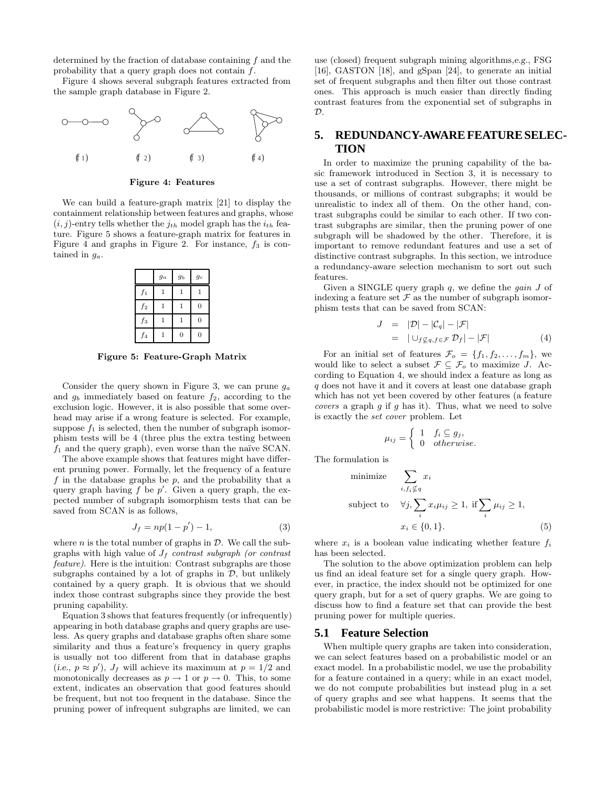determined by the fraction of database containing f and the probability that a query graph does not contain f.

Figure 4 shows several subgraph features extracted from the sample graph database in Figure 2.



Figure 4: Features

We can build a feature-graph matrix [21] to display the containment relationship between features and graphs, whose  $(i, j)$ -entry tells whether the  $j_{th}$  model graph has the  $i_{th}$  feature. Figure 5 shows a feature-graph matrix for features in Figure 4 and graphs in Figure 2. For instance,  $f_3$  is contained in  $g_a$ .

|       | $g_a$        | $g_b$        | $g_c$          |
|-------|--------------|--------------|----------------|
| $f_1$ | $\mathbf{1}$ | 1            | 1              |
| $f_2$ | 1            | $\mathbf{1}$ | $\overline{0}$ |
| $f_3$ | $\mathbf{1}$ | 1            | $\overline{0}$ |
| $f_4$ |              | 0            |                |

Figure 5: Feature-Graph Matrix

Consider the query shown in Figure 3, we can prune  $g_a$ and  $g_b$  immediately based on feature  $f_2$ , according to the exclusion logic. However, it is also possible that some overhead may arise if a wrong feature is selected. For example, suppose  $f_1$  is selected, then the number of subgraph isomorphism tests will be 4 (three plus the extra testing between  $f_1$  and the query graph), even worse than the naïve SCAN.

The above example shows that features might have different pruning power. Formally, let the frequency of a feature f in the database graphs be  $p$ , and the probability that a query graph having  $f$  be  $p'$ . Given a query graph, the expected number of subgraph isomorphism tests that can be saved from SCAN is as follows,

$$
J_f = np(1 - p') - 1,\t\t(3)
$$

where  $n$  is the total number of graphs in  $\mathcal{D}$ . We call the subgraphs with high value of  $J_f$  contrast subgraph (or contrast feature). Here is the intuition: Contrast subgraphs are those subgraphs contained by a lot of graphs in  $D$ , but unlikely contained by a query graph. It is obvious that we should index those contrast subgraphs since they provide the best pruning capability.

Equation 3 shows that features frequently (or infrequently) appearing in both database graphs and query graphs are useless. As query graphs and database graphs often share some similarity and thus a feature's frequency in query graphs is usually not too different from that in database graphs (i.e.,  $p \approx p'$ ),  $J_f$  will achieve its maximum at  $p = 1/2$  and monotonically decreases as  $p \to 1$  or  $p \to 0$ . This, to some extent, indicates an observation that good features should be frequent, but not too frequent in the database. Since the pruning power of infrequent subgraphs are limited, we can

use (closed) frequent subgraph mining algorithms,e.g., FSG [16], GASTON [18], and gSpan [24], to generate an initial set of frequent subgraphs and then filter out those contrast ones. This approach is much easier than directly finding contrast features from the exponential set of subgraphs in  $\mathcal{D}$ .

# **5. REDUNDANCY-AWARE FEATURE SELEC-TION**

In order to maximize the pruning capability of the basic framework introduced in Section 3, it is necessary to use a set of contrast subgraphs. However, there might be thousands, or millions of contrast subgraphs; it would be unrealistic to index all of them. On the other hand, contrast subgraphs could be similar to each other. If two contrast subgraphs are similar, then the pruning power of one subgraph will be shadowed by the other. Therefore, it is important to remove redundant features and use a set of distinctive contrast subgraphs. In this section, we introduce a redundancy-aware selection mechanism to sort out such features.

Given a SINGLE query graph  $q$ , we define the  $gain J$  of indexing a feature set  $\mathcal F$  as the number of subgraph isomorphism tests that can be saved from SCAN:

$$
J = |\mathcal{D}| - |\mathcal{C}_q| - |\mathcal{F}|
$$
  
= 
$$
|\cup_{f \nsubseteq q, f \in \mathcal{F}} \mathcal{D}_f| - |\mathcal{F}|
$$
 (4)

For an initial set of features  $\mathcal{F}_o = \{f_1, f_2, \ldots, f_m\}$ , we would like to select a subset  $\mathcal{F} \subseteq \mathcal{F}_o$  to maximize J. According to Equation 4, we should index a feature as long as q does not have it and it covers at least one database graph which has not yet been covered by other features (a feature *covers* a graph  $g$  if  $g$  has it). Thus, what we need to solve is exactly the set cover problem. Let

$$
\mu_{ij} = \begin{cases} 1 & f_i \subseteq g_j, \\ 0 & otherwise. \end{cases}
$$

The formulation is

minimize 
$$
\sum_{i, f_i \notin q} x_i
$$
  
subject to  $\forall j, \sum_i x_i \mu_{ij} \ge 1$ , if  $\sum_i \mu_{ij} \ge 1$ ,  
 $x_i \in \{0, 1\}.$  (5)

where  $x_i$  is a boolean value indicating whether feature  $f_i$ has been selected.

The solution to the above optimization problem can help us find an ideal feature set for a single query graph. However, in practice, the index should not be optimized for one query graph, but for a set of query graphs. We are going to discuss how to find a feature set that can provide the best pruning power for multiple queries.

#### **5.1 Feature Selection**

When multiple query graphs are taken into consideration, we can select features based on a probabilistic model or an exact model. In a probabilistic model, we use the probability for a feature contained in a query; while in an exact model, we do not compute probabilities but instead plug in a set of query graphs and see what happens. It seems that the probabilistic model is more restrictive: The joint probability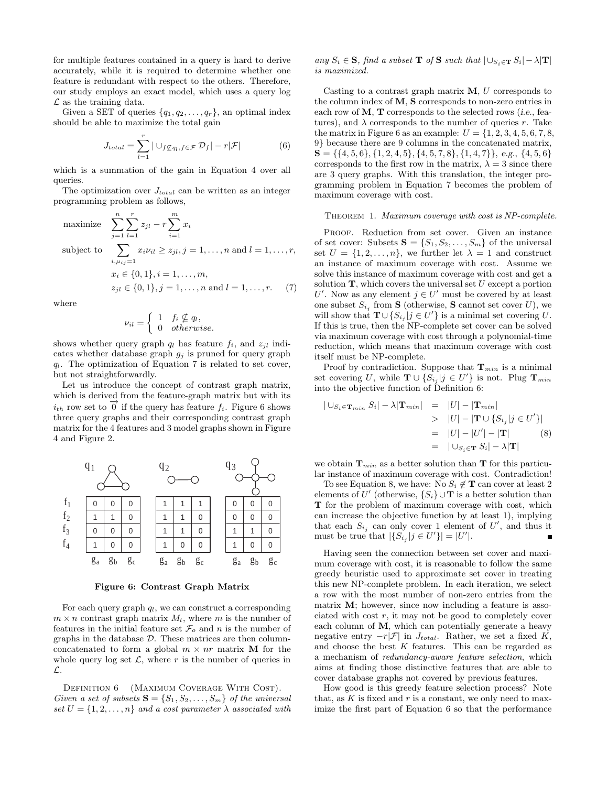for multiple features contained in a query is hard to derive accurately, while it is required to determine whether one feature is redundant with respect to the others. Therefore, our study employs an exact model, which uses a query log  $\mathcal L$  as the training data.

Given a SET of queries  $\{q_1, q_2, \ldots, q_r\}$ , an optimal index should be able to maximize the total gain

$$
J_{total} = \sum_{l=1}^{r} |\cup_{f \not\subseteq q_l, f \in \mathcal{F}} \mathcal{D}_f| - r|\mathcal{F}| \tag{6}
$$

which is a summation of the gain in Equation 4 over all queries.

The optimization over  $J_{total}$  can be written as an integer programming problem as follows,

maximize 
$$
\sum_{j=1}^{n} \sum_{l=1}^{r} z_{jl} - r \sum_{i=1}^{m} x_i
$$
  
\nsubject to 
$$
\sum_{i,\mu_{ij}=1} x_i \nu_{il} \ge z_{jl}, j = 1, ..., n \text{ and } l = 1, ..., r,
$$

$$
x_i \in \{0, 1\}, i = 1, ..., m,
$$

$$
z_{jl} \in \{0, 1\}, j = 1, ..., n \text{ and } l = 1, ..., r. \tag{7}
$$

where

$$
\nu_{il} = \begin{cases} 1 & \text{if } \nsubseteq q_l, \\ 0 & \text{otherwise.} \end{cases}
$$

shows whether query graph  $q_l$  has feature  $f_i$ , and  $z_{jl}$  indicates whether database graph  $g_j$  is pruned for query graph  $q_l$ . The optimization of Equation 7 is related to set cover, but not straightforwardly.

Let us introduce the concept of contrast graph matrix, which is derived from the feature-graph matrix but with its  $i_{th}$  row set to  $\overrightarrow{0}$  if the query has feature  $f_i$ . Figure 6 shows three query graphs and their corresponding contrast graph matrix for the 4 features and 3 model graphs shown in Figure 4 and Figure 2.



Figure 6: Contrast Graph Matrix

For each query graph  $q_l$ , we can construct a corresponding  $m \times n$  contrast graph matrix  $M_l$ , where m is the number of features in the initial feature set  $\mathcal{F}_o$  and n is the number of graphs in the database  $D$ . These matrices are then columnconcatenated to form a global  $m \times nr$  matrix **M** for the whole query log set  $\mathcal{L}$ , where r is the number of queries in L.

DEFINITION 6 (MAXIMUM COVERAGE WITH COST). Given a set of subsets  $S = \{S_1, S_2, \ldots, S_m\}$  of the universal set  $U = \{1, 2, ..., n\}$  and a cost parameter  $\lambda$  associated with any  $S_i \in \mathbf{S}$ , find a subset **T** of **S** such that  $\left| \bigcup_{S_i \in \mathbf{T}} S_i \right| - \lambda |\mathbf{T}|$ is maximized.

Casting to a contrast graph matrix  $M$ ,  $U$  corresponds to the column index of M, S corresponds to non-zero entries in each row of  $M$ ,  $T$  corresponds to the selected rows (*i.e.*, features), and  $\lambda$  corresponds to the number of queries r. Take the matrix in Figure 6 as an example:  $U = \{1, 2, 3, 4, 5, 6, 7, 8,$ 9} because there are 9 columns in the concatenated matrix,  $S = \{\{4, 5, 6\}, \{1, 2, 4, 5\}, \{4, 5, 7, 8\}, \{1, 4, 7\}\}, e.g., \{4, 5, 6\}$ corresponds to the first row in the matrix,  $\lambda = 3$  since there are 3 query graphs. With this translation, the integer programming problem in Equation 7 becomes the problem of maximum coverage with cost.

#### THEOREM 1. Maximum coverage with cost is NP-complete.

PROOF. Reduction from set cover. Given an instance of set cover: Subsets  $S = \{S_1, S_2, \ldots, S_m\}$  of the universal set  $U = \{1, 2, ..., n\}$ , we further let  $\lambda = 1$  and construct an instance of maximum coverage with cost. Assume we solve this instance of maximum coverage with cost and get a solution  $\mathbf{T}$ , which covers the universal set U except a portion U'. Now as any element  $j \in U'$  must be covered by at least one subset  $S_{i_j}$  from **S** (otherwise, **S** cannot set cover U), we will show that  $\mathbf{T} \cup \{S_{i_j} | j \in U'\}$  is a minimal set covering U. If this is true, then the NP-complete set cover can be solved via maximum coverage with cost through a polynomial-time reduction, which means that maximum coverage with cost itself must be NP-complete.

Proof by contradiction. Suppose that  $\mathbf{T}_{min}$  is a minimal set covering U, while  $\mathbf{T} \cup \{S_{i_j} | j \in U'\}$  is not. Plug  $\mathbf{T}_{min}$ into the objective function of Definition 6:

$$
| \cup_{S_i \in \mathbf{T}_{min}} S_i | - \lambda |\mathbf{T}_{min}| = |U| - |\mathbf{T}_{min}|
$$
  
>  $|U| - |\mathbf{T} \cup \{S_{i_j} | j \in U'\}|$   
=  $|U| - |U'| - |\mathbf{T}|$  (8)  
=  $|\cup_{S_i \in \mathbf{T}} S_i| - \lambda |\mathbf{T}|$ 

we obtain  $\mathbf{T}_{min}$  as a better solution than **T** for this particular instance of maximum coverage with cost. Contradiction!

To see Equation 8, we have: No  $S_i \notin \mathbf{T}$  can cover at least 2 elements of U' (otherwise,  $\{S_i\} \cup T$  is a better solution than T for the problem of maximum coverage with cost, which can increase the objective function by at least 1), implying that each  $S_{i_j}$  can only cover 1 element of U', and thus it must be true that  $|\{S_{i_j} | j \in U'\}| = |U'|$ .

Having seen the connection between set cover and maximum coverage with cost, it is reasonable to follow the same greedy heuristic used to approximate set cover in treating this new NP-complete problem. In each iteration, we select a row with the most number of non-zero entries from the matrix M; however, since now including a feature is associated with cost  $r$ , it may not be good to completely cover each column of M, which can potentially generate a heavy negative entry  $-r|\mathcal{F}|$  in  $J_{total}$ . Rather, we set a fixed K, and choose the best  $K$  features. This can be regarded as a mechanism of redundancy-aware feature selection, which aims at finding those distinctive features that are able to cover database graphs not covered by previous features.

How good is this greedy feature selection process? Note that, as  $K$  is fixed and  $r$  is a constant, we only need to maximize the first part of Equation 6 so that the performance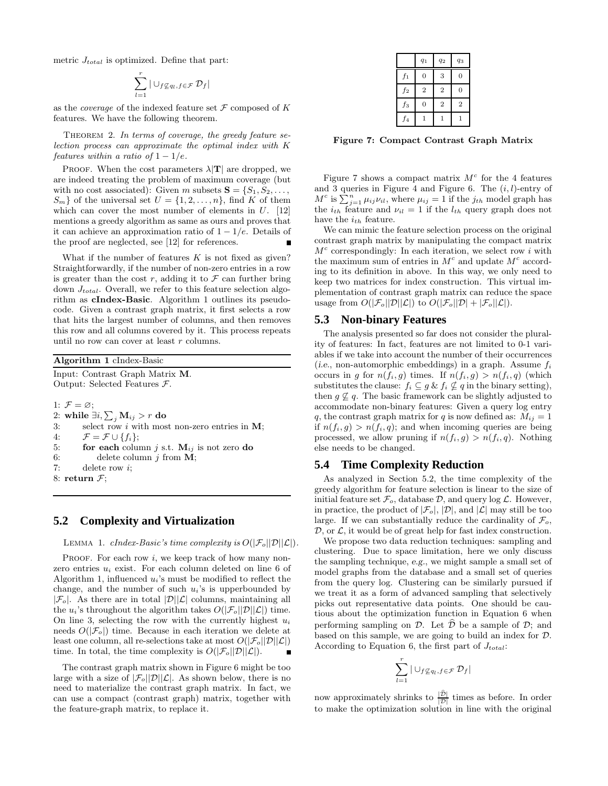metric  $J_{total}$  is optimized. Define that part:

$$
\sum_{l=1}^r |\cup_{f\not\subseteq q_l,f\in\mathcal{F}} \mathcal{D}_f|
$$

as the *coverage* of the indexed feature set  $\mathcal F$  composed of  $K$ features. We have the following theorem.

THEOREM 2. In terms of coverage, the greedy feature selection process can approximate the optimal index with K features within a ratio of  $1 - 1/e$ .

PROOF. When the cost parameters  $\lambda |T|$  are dropped, we are indeed treating the problem of maximum coverage (but with no cost associated): Given m subsets  $S = \{S_1, S_2, \ldots, S_n\}$  $S_m$  of the universal set  $U = \{1, 2, \ldots, n\}$ , find K of them which can cover the most number of elements in  $U$ . [12] mentions a greedy algorithm as same as ours and proves that it can achieve an approximation ratio of  $1 - 1/e$ . Details of the proof are neglected, see [12] for references.

What if the number of features  $K$  is not fixed as given? Straightforwardly, if the number of non-zero entries in a row is greater than the cost  $r$ , adding it to  $\mathcal F$  can further bring down  $J_{total}$ . Overall, we refer to this feature selection algorithm as cIndex-Basic. Algorithm 1 outlines its pseudocode. Given a contrast graph matrix, it first selects a row that hits the largest number of columns, and then removes this row and all columns covered by it. This process repeats until no row can cover at least  $r$  columns.

| Algorithm 1 cIndex-Basic                  |  |  |  |  |  |
|-------------------------------------------|--|--|--|--|--|
| Input: Contrast Graph Matrix M.           |  |  |  |  |  |
| Output: Selected Features $\mathcal{F}$ . |  |  |  |  |  |
|                                           |  |  |  |  |  |

1:  $\mathcal{F}=\varnothing;$ 2: while  $\exists i, \sum_j \mathbf{M}_{ij} > r$  do 3: select row i with most non-zero entries in  $M$ ; 4:  $\mathcal{F} = \mathcal{F} \cup \{f_i\};$ 5: **for each** column j s.t.  $M_{ij}$  is not zero do 6: delete column  $j$  from **M**; 7: delete row i; 8: return  $\mathcal{F}$ ;

#### **5.2 Complexity and Virtualization**

LEMMA 1. cIndex-Basic's time complexity is  $O(|\mathcal{F}_o||\mathcal{D}||\mathcal{L}|)$ .

PROOF. For each row  $i$ , we keep track of how many nonzero entries  $u_i$  exist. For each column deleted on line 6 of Algorithm 1, influenced  $u_i$ 's must be modified to reflect the change, and the number of such  $u_i$ 's is upperbounded by  $|\mathcal{F}_o|$ . As there are in total  $|\mathcal{D}||\mathcal{L}|$  columns, maintaining all the  $u_i$ 's throughout the algorithm takes  $O(|\mathcal{F}_o||\mathcal{D}||\mathcal{L}|)$  time. On line 3, selecting the row with the currently highest  $u_i$ needs  $O(|\mathcal{F}_o|)$  time. Because in each iteration we delete at least one column, all re-selections take at most  $O(|\mathcal{F}_o||\mathcal{D}||\mathcal{L}|)$ time. In total, the time complexity is  $O(|\mathcal{F}_o||\mathcal{D}||\mathcal{L}|)$ . Н

The contrast graph matrix shown in Figure 6 might be too large with a size of  $|\mathcal{F}_{o}||\mathcal{D}||\mathcal{L}|$ . As shown below, there is no need to materialize the contrast graph matrix. In fact, we can use a compact (contrast graph) matrix, together with the feature-graph matrix, to replace it.

|                | $q_1$          | $q_2$          | $q_3$          |
|----------------|----------------|----------------|----------------|
| $f_1$          | 0              | 3              | 0              |
| f <sub>2</sub> | $\overline{2}$ | $\overline{2}$ | $\overline{0}$ |
| $f_3$          | 0              | $\overline{2}$ | $\overline{2}$ |
| $f_4$          | 1              | 1              | 1              |

Figure 7: Compact Contrast Graph Matrix

Figure 7 shows a compact matrix  $M<sup>c</sup>$  for the 4 features and 3 queries in Figure 4 and Figure 6. The  $(i, l)$ -entry of  $M^c$  is  $\sum_{j=1}^n \mu_{ij} \nu_{il}$ , where  $\mu_{ij} = 1$  if the  $j_{th}$  model graph has the  $i_{th}$  feature and  $\nu_{il} = 1$  if the  $l_{th}$  query graph does not have the  $i_{th}$  feature.

We can mimic the feature selection process on the original contrast graph matrix by manipulating the compact matrix  $M<sup>c</sup>$  correspondingly: In each iteration, we select row i with the maximum sum of entries in  $M<sup>c</sup>$  and update  $M<sup>c</sup>$  according to its definition in above. In this way, we only need to keep two matrices for index construction. This virtual implementation of contrast graph matrix can reduce the space usage from  $O(|\mathcal{F}_o||\mathcal{D}||\mathcal{L}|)$  to  $O(|\mathcal{F}_o||\mathcal{D}| + |\mathcal{F}_o||\mathcal{L}|).$ 

#### **5.3 Non-binary Features**

The analysis presented so far does not consider the plurality of features: In fact, features are not limited to 0-1 variables if we take into account the number of their occurrences (i.e., non-automorphic embeddings) in a graph. Assume  $f_i$ occurs in g for  $n(f_i, g)$  times. If  $n(f_i, g) > n(f_i, q)$  (which substitutes the clause:  $f_i \subseteq g \& f_i \nsubseteq q$  in the binary setting), then  $g \nsubseteq q$ . The basic framework can be slightly adjusted to accommodate non-binary features: Given a query log entry q, the contrast graph matrix for q is now defined as:  $M_{ij} = 1$ if  $n(f_i, g) > n(f_i, q)$ ; and when incoming queries are being processed, we allow pruning if  $n(f_i, g) > n(f_i, q)$ . Nothing else needs to be changed.

#### **5.4 Time Complexity Reduction**

As analyzed in Section 5.2, the time complexity of the greedy algorithm for feature selection is linear to the size of initial feature set  $\mathcal{F}_o$ , database  $\mathcal{D}$ , and query log  $\mathcal{L}$ . However, in practice, the product of  $|\mathcal{F}_o|$ ,  $|\mathcal{D}|$ , and  $|\mathcal{L}|$  may still be too large. If we can substantially reduce the cardinality of  $\mathcal{F}_{\alpha}$ ,  $\mathcal{D}$ , or  $\mathcal{L}$ , it would be of great help for fast index construction.

We propose two data reduction techniques: sampling and clustering. Due to space limitation, here we only discuss the sampling technique, e.g., we might sample a small set of model graphs from the database and a small set of queries from the query log. Clustering can be similarly pursued if we treat it as a form of advanced sampling that selectively picks out representative data points. One should be cautious about the optimization function in Equation 6 when performing sampling on  $\mathcal{D}$ . Let  $\mathcal{D}$  be a sample of  $\mathcal{D}$ ; and based on this sample, we are going to build an index for D. According to Equation 6, the first part of  $J_{total}$ :

$$
\sum_{l=1}^r |\cup_{f\not\subseteq q_l,f\in\mathcal{F}} \mathcal{D}_f|
$$

now approximately shrinks to  $\frac{|\mathcal{D}|}{|\mathcal{D}|}$  times as before. In order to make the optimization solution in line with the original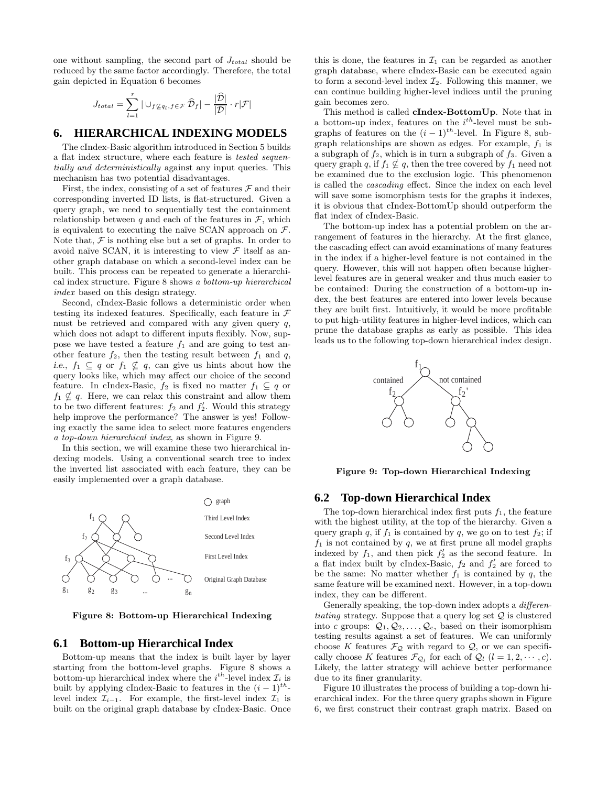one without sampling, the second part of  $J_{total}$  should be reduced by the same factor accordingly. Therefore, the total gain depicted in Equation 6 becomes

$$
J_{total} = \sum_{l=1}^{r} | \cup_{f \not\subseteq q_l, f \in \mathcal{F}} \widehat{\mathcal{D}}_f | - \frac{|\widehat{\mathcal{D}}|}{|\mathcal{D}|} \cdot r|\mathcal{F}|
$$

#### **6. HIERARCHICAL INDEXING MODELS**

The cIndex-Basic algorithm introduced in Section 5 builds a flat index structure, where each feature is tested sequentially and deterministically against any input queries. This mechanism has two potential disadvantages.

First, the index, consisting of a set of features  $\mathcal F$  and their corresponding inverted ID lists, is flat-structured. Given a query graph, we need to sequentially test the containment relationship between q and each of the features in  $\mathcal{F}$ , which is equivalent to executing the naïve SCAN approach on  $\mathcal{F}$ . Note that,  $\mathcal F$  is nothing else but a set of graphs. In order to avoid naïve SCAN, it is interesting to view  $\mathcal F$  itself as another graph database on which a second-level index can be built. This process can be repeated to generate a hierarchical index structure. Figure 8 shows a bottom-up hierarchical index based on this design strategy.

Second, cIndex-Basic follows a deterministic order when testing its indexed features. Specifically, each feature in  $\mathcal F$ must be retrieved and compared with any given query  $q$ , which does not adapt to different inputs flexibly. Now, suppose we have tested a feature  $f_1$  and are going to test another feature  $f_2$ , then the testing result between  $f_1$  and  $q$ , i.e.,  $f_1 \subseteq q$  or  $f_1 \nsubseteq q$ , can give us hints about how the query looks like, which may affect our choice of the second feature. In cIndex-Basic,  $f_2$  is fixed no matter  $f_1 \subseteq q$  or  $f_1 \nsubseteq q$ . Here, we can relax this constraint and allow them to be two different features:  $f_2$  and  $f'_2$ . Would this strategy help improve the performance? The answer is yes! Following exactly the same idea to select more features engenders a top-down hierarchical index, as shown in Figure 9.

In this section, we will examine these two hierarchical indexing models. Using a conventional search tree to index the inverted list associated with each feature, they can be easily implemented over a graph database.



Figure 8: Bottom-up Hierarchical Indexing

#### **6.1 Bottom-up Hierarchical Index**

Bottom-up means that the index is built layer by layer starting from the bottom-level graphs. Figure 8 shows a bottom-up hierarchical index where the  $i^{th}$ -level index  $\mathcal{I}_i$  is built by applying cIndex-Basic to features in the  $(i-1)^{th}$ level index  $\mathcal{I}_{i-1}$ . For example, the first-level index  $\mathcal{I}_1$  is built on the original graph database by cIndex-Basic. Once this is done, the features in  $\mathcal{I}_1$  can be regarded as another graph database, where cIndex-Basic can be executed again to form a second-level index  $\mathcal{I}_2$ . Following this manner, we can continue building higher-level indices until the pruning gain becomes zero.

This method is called cIndex-BottomUp. Note that in a bottom-up index, features on the  $i^{th}$ -level must be subgraphs of features on the  $(i - 1)^{th}$ -level. In Figure 8, subgraph relationships are shown as edges. For example,  $f_1$  is a subgraph of  $f_2$ , which is in turn a subgraph of  $f_3$ . Given a query graph q, if  $f_1 \nsubseteq q$ , then the tree covered by  $f_1$  need not be examined due to the exclusion logic. This phenomenon is called the cascading effect. Since the index on each level will save some isomorphism tests for the graphs it indexes, it is obvious that cIndex-BottomUp should outperform the flat index of cIndex-Basic.

The bottom-up index has a potential problem on the arrangement of features in the hierarchy. At the first glance, the cascading effect can avoid examinations of many features in the index if a higher-level feature is not contained in the query. However, this will not happen often because higherlevel features are in general weaker and thus much easier to be contained: During the construction of a bottom-up index, the best features are entered into lower levels because they are built first. Intuitively, it would be more profitable to put high-utility features in higher-level indices, which can prune the database graphs as early as possible. This idea leads us to the following top-down hierarchical index design.



Figure 9: Top-down Hierarchical Indexing

#### **6.2 Top-down Hierarchical Index**

The top-down hierarchical index first puts  $f_1$ , the feature with the highest utility, at the top of the hierarchy. Given a query graph q, if  $f_1$  is contained by q, we go on to test  $f_2$ ; if  $f_1$  is not contained by q, we at first prune all model graphs indexed by  $f_1$ , and then pick  $f_2'$  as the second feature. In a flat index built by cIndex-Basic,  $f_2$  and  $f_2'$  are forced to be the same: No matter whether  $f_1$  is contained by q, the same feature will be examined next. However, in a top-down index, they can be different.

Generally speaking, the top-down index adopts a differentiating strategy. Suppose that a query log set  $\mathcal{Q}$  is clustered into c groups:  $Q_1, Q_2, \ldots, Q_c$ , based on their isomorphism testing results against a set of features. We can uniformly choose K features  $\mathcal{F}_{\mathcal{Q}}$  with regard to  $\mathcal{Q}$ , or we can specifically choose K features  $\mathcal{F}_{\mathcal{Q}_l}$  for each of  $\mathcal{Q}_l$   $(l = 1, 2, \cdots, c)$ . Likely, the latter strategy will achieve better performance due to its finer granularity.

Figure 10 illustrates the process of building a top-down hierarchical index. For the three query graphs shown in Figure 6, we first construct their contrast graph matrix. Based on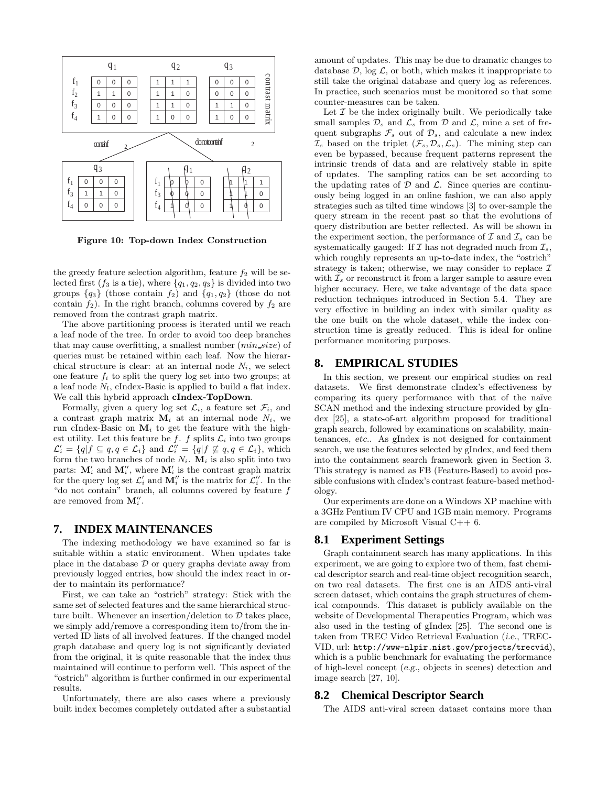

Figure 10: Top-down Index Construction

the greedy feature selection algorithm, feature  $f_2$  will be selected first  $(f_3$  is a tie), where  $\{q_1, q_2, q_3\}$  is divided into two groups  ${q_3}$  (those contain  $f_2$ ) and  ${q_1, q_2}$  (those do not contain  $f_2$ ). In the right branch, columns covered by  $f_2$  are removed from the contrast graph matrix.

The above partitioning process is iterated until we reach a leaf node of the tree. In order to avoid too deep branches that may cause overfitting, a smallest number  $(min\_size)$  of queries must be retained within each leaf. Now the hierarchical structure is clear: at an internal node  $N_i$ , we select one feature  $f_i$  to split the query log set into two groups; at a leaf node  $N_l$ , cIndex-Basic is applied to build a flat index. We call this hybrid approach **cIndex-TopDown**.

Formally, given a query log set  $\mathcal{L}_i$ , a feature set  $\mathcal{F}_i$ , and a contrast graph matrix  $M_i$  at an internal node  $N_i$ , we run cIndex-Basic on  $M_i$  to get the feature with the highest utility. Let this feature be f. f splits  $\mathcal{L}_i$  into two groups  $\mathcal{L}'_i = \{q | f \subseteq q, q \in \mathcal{L}_i\}$  and  $\mathcal{L}''_i = \{q | f \nsubseteq q, q \in \mathcal{L}_i\}$ , which form the two branches of node  $N_i$ .  $\mathbf{M}_i$  is also split into two parts:  $\mathbf{M}'_i$  and  $\mathbf{M}''_i$ , where  $\mathbf{M}'_i$  is the contrast graph matrix for the query log set  $\mathcal{L}'_i$  and  $\mathbf{M}''_i$  is the matrix for  $\mathcal{L}''_i$ . In the "do not contain" branch, all columns covered by feature  $f$ are removed from  $\mathbf{M}''_i$ .

#### **7. INDEX MAINTENANCES**

The indexing methodology we have examined so far is suitable within a static environment. When updates take place in the database  $\mathcal D$  or query graphs deviate away from previously logged entries, how should the index react in order to maintain its performance?

First, we can take an "ostrich" strategy: Stick with the same set of selected features and the same hierarchical structure built. Whenever an insertion/deletion to  $\mathcal D$  takes place, we simply add/remove a corresponding item to/from the inverted ID lists of all involved features. If the changed model graph database and query log is not significantly deviated from the original, it is quite reasonable that the index thus maintained will continue to perform well. This aspect of the "ostrich" algorithm is further confirmed in our experimental results.

Unfortunately, there are also cases where a previously built index becomes completely outdated after a substantial amount of updates. This may be due to dramatic changes to database  $\mathcal{D}$ , log  $\mathcal{L}$ , or both, which makes it inappropriate to still take the original database and query log as references. In practice, such scenarios must be monitored so that some counter-measures can be taken.

Let  $\mathcal I$  be the index originally built. We periodically take small samples  $\mathcal{D}_s$  and  $\mathcal{L}_s$  from  $\mathcal D$  and  $\mathcal L$ , mine a set of frequent subgraphs  $\mathcal{F}_s$  out of  $\mathcal{D}_s$ , and calculate a new index  $\mathcal{I}_s$  based on the triplet  $(\mathcal{F}_s, \mathcal{D}_s, \mathcal{L}_s)$ . The mining step can even be bypassed, because frequent patterns represent the intrinsic trends of data and are relatively stable in spite of updates. The sampling ratios can be set according to the updating rates of  $D$  and  $\mathcal{L}$ . Since queries are continuously being logged in an online fashion, we can also apply strategies such as tilted time windows [3] to over-sample the query stream in the recent past so that the evolutions of query distribution are better reflected. As will be shown in the experiment section, the performance of  $\mathcal I$  and  $\mathcal I_s$  can be systematically gauged: If  $\mathcal I$  has not degraded much from  $\mathcal I_s$ , which roughly represents an up-to-date index, the "ostrich" strategy is taken; otherwise, we may consider to replace  $\mathcal I$ with  $\mathcal{I}_s$  or reconstruct it from a larger sample to assure even higher accuracy. Here, we take advantage of the data space reduction techniques introduced in Section 5.4. They are very effective in building an index with similar quality as the one built on the whole dataset, while the index construction time is greatly reduced. This is ideal for online performance monitoring purposes.

#### **8. EMPIRICAL STUDIES**

In this section, we present our empirical studies on real datasets. We first demonstrate cIndex's effectiveness by comparing its query performance with that of the naïve SCAN method and the indexing structure provided by gIndex [25], a state-of-art algorithm proposed for traditional graph search, followed by examinations on scalability, maintenances, etc.. As gIndex is not designed for containment search, we use the features selected by gIndex, and feed them into the containment search framework given in Section 3. This strategy is named as FB (Feature-Based) to avoid possible confusions with cIndex's contrast feature-based methodology.

Our experiments are done on a Windows XP machine with a 3GHz Pentium IV CPU and 1GB main memory. Programs are compiled by Microsoft Visual C++ 6.

#### **8.1 Experiment Settings**

Graph containment search has many applications. In this experiment, we are going to explore two of them, fast chemical descriptor search and real-time object recognition search, on two real datasets. The first one is an AIDS anti-viral screen dataset, which contains the graph structures of chemical compounds. This dataset is publicly available on the website of Developmental Therapeutics Program, which was also used in the testing of gIndex [25]. The second one is taken from TREC Video Retrieval Evaluation (i.e., TREC-VID, url: http://www-nlpir.nist.gov/projects/trecvid), which is a public benchmark for evaluating the performance of high-level concept (e.g., objects in scenes) detection and image search [27, 10].

### **8.2 Chemical Descriptor Search**

The AIDS anti-viral screen dataset contains more than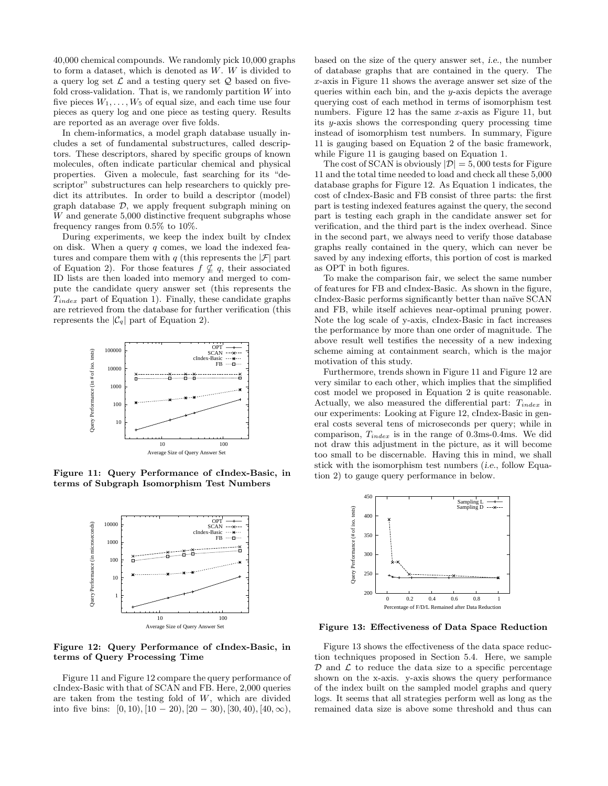40,000 chemical compounds. We randomly pick 10,000 graphs to form a dataset, which is denoted as W. W is divided to a query log set  $\mathcal L$  and a testing query set  $\mathcal Q$  based on fivefold cross-validation. That is, we randomly partition  $W$  into five pieces  $W_1, \ldots, W_5$  of equal size, and each time use four pieces as query log and one piece as testing query. Results are reported as an average over five folds.

In chem-informatics, a model graph database usually includes a set of fundamental substructures, called descriptors. These descriptors, shared by specific groups of known molecules, often indicate particular chemical and physical properties. Given a molecule, fast searching for its "descriptor" substructures can help researchers to quickly predict its attributes. In order to build a descriptor (model) graph database  $D$ , we apply frequent subgraph mining on W and generate 5,000 distinctive frequent subgraphs whose frequency ranges from 0.5% to 10%.

During experiments, we keep the index built by cIndex on disk. When a query  $q$  comes, we load the indexed features and compare them with  $q$  (this represents the  $|\mathcal{F}|$  part of Equation 2). For those features  $f \nsubseteq q$ , their associated ID lists are then loaded into memory and merged to compute the candidate query answer set (this represents the  $T_{index}$  part of Equation 1). Finally, these candidate graphs are retrieved from the database for further verification (this represents the  $|\mathcal{C}_q|$  part of Equation 2).



Figure 11: Query Performance of cIndex-Basic, in terms of Subgraph Isomorphism Test Numbers



Figure 12: Query Performance of cIndex-Basic, in terms of Query Processing Time

Figure 11 and Figure 12 compare the query performance of cIndex-Basic with that of SCAN and FB. Here, 2,000 queries are taken from the testing fold of W, which are divided into five bins:  $[0, 10), [10 - 20), [20 - 30), [30, 40), [40, \infty),$ 

based on the size of the query answer set, i.e., the number of database graphs that are contained in the query. The x-axis in Figure 11 shows the average answer set size of the queries within each bin, and the  $y$ -axis depicts the average querying cost of each method in terms of isomorphism test numbers. Figure 12 has the same  $x$ -axis as Figure 11, but its y-axis shows the corresponding query processing time instead of isomorphism test numbers. In summary, Figure 11 is gauging based on Equation 2 of the basic framework, while Figure 11 is gauging based on Equation 1.

The cost of SCAN is obviously  $|\mathcal{D}| = 5,000$  tests for Figure 11 and the total time needed to load and check all these 5,000 database graphs for Figure 12. As Equation 1 indicates, the cost of cIndex-Basic and FB consist of three parts: the first part is testing indexed features against the query, the second part is testing each graph in the candidate answer set for verification, and the third part is the index overhead. Since in the second part, we always need to verify those database graphs really contained in the query, which can never be saved by any indexing efforts, this portion of cost is marked as OPT in both figures.

To make the comparison fair, we select the same number of features for FB and cIndex-Basic. As shown in the figure, cIndex-Basic performs significantly better than naïve SCAN and FB, while itself achieves near-optimal pruning power. Note the log scale of y-axis, cIndex-Basic in fact increases the performance by more than one order of magnitude. The above result well testifies the necessity of a new indexing scheme aiming at containment search, which is the major motivation of this study.

Furthermore, trends shown in Figure 11 and Figure 12 are very similar to each other, which implies that the simplified cost model we proposed in Equation 2 is quite reasonable. Actually, we also measured the differential part:  $T_{index}$  in our experiments: Looking at Figure 12, cIndex-Basic in general costs several tens of microseconds per query; while in comparison,  $T_{index}$  is in the range of 0.3ms-0.4ms. We did not draw this adjustment in the picture, as it will become too small to be discernable. Having this in mind, we shall stick with the isomorphism test numbers *(i.e., follow Equa*tion 2) to gauge query performance in below.



Figure 13: Effectiveness of Data Space Reduction

Figure 13 shows the effectiveness of the data space reduction techniques proposed in Section 5.4. Here, we sample  $\mathcal D$  and  $\mathcal L$  to reduce the data size to a specific percentage shown on the x-axis. y-axis shows the query performance of the index built on the sampled model graphs and query logs. It seems that all strategies perform well as long as the remained data size is above some threshold and thus can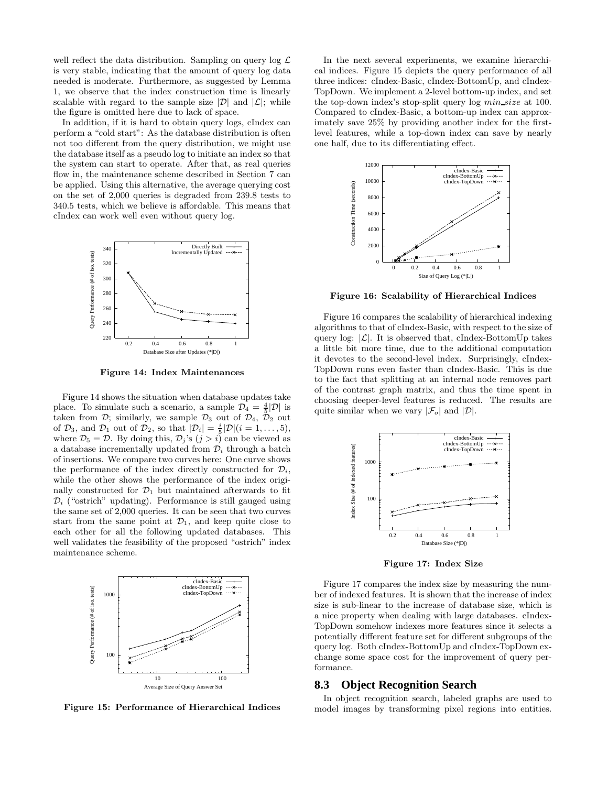well reflect the data distribution. Sampling on query  $\log \mathcal{L}$ is very stable, indicating that the amount of query log data needed is moderate. Furthermore, as suggested by Lemma 1, we observe that the index construction time is linearly scalable with regard to the sample size  $|\mathcal{D}|$  and  $|\mathcal{L}|$ ; while the figure is omitted here due to lack of space.

In addition, if it is hard to obtain query logs, cIndex can perform a "cold start": As the database distribution is often not too different from the query distribution, we might use the database itself as a pseudo log to initiate an index so that the system can start to operate. After that, as real queries flow in, the maintenance scheme described in Section 7 can be applied. Using this alternative, the average querying cost on the set of 2,000 queries is degraded from 239.8 tests to 340.5 tests, which we believe is affordable. This means that cIndex can work well even without query log.



Figure 14: Index Maintenances

Figure 14 shows the situation when database updates take place. To simulate such a scenario, a sample  $\mathcal{D}_4 = \frac{4}{5}|\mathcal{D}|$  is taken from  $\mathcal{D}$ ; similarly, we sample  $\mathcal{D}_3$  out of  $\mathcal{D}_4$ ,  $\mathcal{D}_2$  out of  $\mathcal{D}_3$ , and  $\mathcal{D}_1$  out of  $\mathcal{D}_2$ , so that  $|\mathcal{D}_i| = \frac{i}{5} |\mathcal{D}| (i = 1, \ldots, 5)$ , where  $\mathcal{D}_5 = \mathcal{D}$ . By doing this,  $\mathcal{D}_j$ 's  $(j > i)$  can be viewed as a database incrementally updated from  $\mathcal{D}_i$  through a batch of insertions. We compare two curves here: One curve shows the performance of the index directly constructed for  $\mathcal{D}_i$ , while the other shows the performance of the index originally constructed for  $\mathcal{D}_1$  but maintained afterwards to fit  $\mathcal{D}_i$  ("ostrich" updating). Performance is still gauged using the same set of 2,000 queries. It can be seen that two curves start from the same point at  $\mathcal{D}_1$ , and keep quite close to each other for all the following updated databases. This well validates the feasibility of the proposed "ostrich" index maintenance scheme.



Figure 15: Performance of Hierarchical Indices

In the next several experiments, we examine hierarchical indices. Figure 15 depicts the query performance of all three indices: cIndex-Basic, cIndex-BottomUp, and cIndex-TopDown. We implement a 2-level bottom-up index, and set the top-down index's stop-split query log min size at 100. Compared to cIndex-Basic, a bottom-up index can approximately save 25% by providing another index for the firstlevel features, while a top-down index can save by nearly one half, due to its differentiating effect.



Figure 16: Scalability of Hierarchical Indices

Figure 16 compares the scalability of hierarchical indexing algorithms to that of cIndex-Basic, with respect to the size of query log:  $|\mathcal{L}|$ . It is observed that, cIndex-BottomUp takes a little bit more time, due to the additional computation it devotes to the second-level index. Surprisingly, cIndex-TopDown runs even faster than cIndex-Basic. This is due to the fact that splitting at an internal node removes part of the contrast graph matrix, and thus the time spent in choosing deeper-level features is reduced. The results are quite similar when we vary  $|\mathcal{F}_o|$  and  $|\mathcal{D}|$ .



Figure 17: Index Size

Figure 17 compares the index size by measuring the number of indexed features. It is shown that the increase of index size is sub-linear to the increase of database size, which is a nice property when dealing with large databases. cIndex-TopDown somehow indexes more features since it selects a potentially different feature set for different subgroups of the query log. Both cIndex-BottomUp and cIndex-TopDown exchange some space cost for the improvement of query performance.

#### **8.3 Object Recognition Search**

In object recognition search, labeled graphs are used to model images by transforming pixel regions into entities.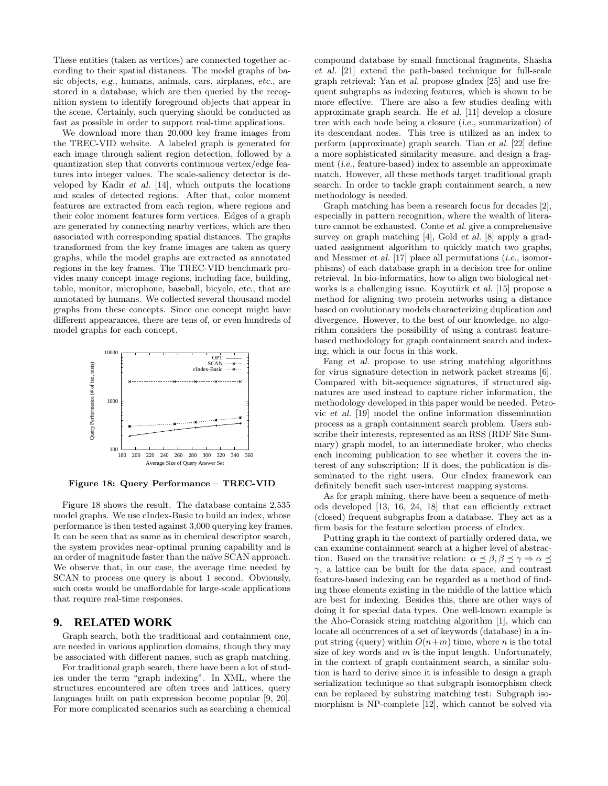These entities (taken as vertices) are connected together according to their spatial distances. The model graphs of basic objects, e.g., humans, animals, cars, airplanes, etc., are stored in a database, which are then queried by the recognition system to identify foreground objects that appear in the scene. Certainly, such querying should be conducted as fast as possible in order to support real-time applications.

We download more than 20,000 key frame images from the TREC-VID website. A labeled graph is generated for each image through salient region detection, followed by a quantization step that converts continuous vertex/edge features into integer values. The scale-saliency detector is developed by Kadir et al. [14], which outputs the locations and scales of detected regions. After that, color moment features are extracted from each region, where regions and their color moment features form vertices. Edges of a graph are generated by connecting nearby vertices, which are then associated with corresponding spatial distances. The graphs transformed from the key frame images are taken as query graphs, while the model graphs are extracted as annotated regions in the key frames. The TREC-VID benchmark provides many concept image regions, including face, building, table, monitor, microphone, baseball, bicycle, etc., that are annotated by humans. We collected several thousand model graphs from these concepts. Since one concept might have different appearances, there are tens of, or even hundreds of model graphs for each concept.



Figure 18: Query Performance – TREC-VID

Figure 18 shows the result. The database contains 2,535 model graphs. We use cIndex-Basic to build an index, whose performance is then tested against 3,000 querying key frames. It can be seen that as same as in chemical descriptor search, the system provides near-optimal pruning capability and is an order of magnitude faster than the naïve SCAN approach. We observe that, in our case, the average time needed by SCAN to process one query is about 1 second. Obviously, such costs would be unaffordable for large-scale applications that require real-time responses.

# **9. RELATED WORK**

Graph search, both the traditional and containment one, are needed in various application domains, though they may be associated with different names, such as graph matching.

For traditional graph search, there have been a lot of studies under the term "graph indexing". In XML, where the structures encountered are often trees and lattices, query languages built on path expression become popular [9, 20]. For more complicated scenarios such as searching a chemical compound database by small functional fragments, Shasha et al. [21] extend the path-based technique for full-scale graph retrieval; Yan et al. propose gIndex [25] and use frequent subgraphs as indexing features, which is shown to be more effective. There are also a few studies dealing with approximate graph search. He et al. [11] develop a closure tree with each node being a closure (i.e., summarization) of its descendant nodes. This tree is utilized as an index to perform (approximate) graph search. Tian et al. [22] define a more sophisticated similarity measure, and design a fragment (i.e., feature-based) index to assemble an approximate match. However, all these methods target traditional graph search. In order to tackle graph containment search, a new methodology is needed.

Graph matching has been a research focus for decades [2], especially in pattern recognition, where the wealth of literature cannot be exhausted. Conte et al. give a comprehensive survey on graph matching [4], Gold et al. [8] apply a graduated assignment algorithm to quickly match two graphs, and Messmer et al. [17] place all permutations (i.e., isomorphisms) of each database graph in a decision tree for online retrieval. In bio-informatics, how to align two biological networks is a challenging issue. Koyutürk et al.  $[15]$  propose a method for aligning two protein networks using a distance based on evolutionary models characterizing duplication and divergence. However, to the best of our knowledge, no algorithm considers the possibility of using a contrast featurebased methodology for graph containment search and indexing, which is our focus in this work.

Fang et al. propose to use string matching algorithms for virus signature detection in network packet streams [6]. Compared with bit-sequence signatures, if structured signatures are used instead to capture richer information, the methodology developed in this paper would be needed. Petrovic et al. [19] model the online information dissemination process as a graph containment search problem. Users subscribe their interests, represented as an RSS (RDF Site Summary) graph model, to an intermediate broker, who checks each incoming publication to see whether it covers the interest of any subscription: If it does, the publication is disseminated to the right users. Our cIndex framework can definitely benefit such user-interest mapping systems.

As for graph mining, there have been a sequence of methods developed [13, 16, 24, 18] that can efficiently extract (closed) frequent subgraphs from a database. They act as a firm basis for the feature selection process of cIndex.

Putting graph in the context of partially ordered data, we can examine containment search at a higher level of abstraction. Based on the transitive relation:  $\alpha \leq \beta, \beta \leq \gamma \Rightarrow \alpha \leq$  $\gamma$ , a lattice can be built for the data space, and contrast feature-based indexing can be regarded as a method of finding those elements existing in the middle of the lattice which are best for indexing. Besides this, there are other ways of doing it for special data types. One well-known example is the Aho-Corasick string matching algorithm [1], which can locate all occurrences of a set of keywords (database) in a input string (query) within  $O(n+m)$  time, where n is the total size of key words and  $m$  is the input length. Unfortunately, in the context of graph containment search, a similar solution is hard to derive since it is infeasible to design a graph serialization technique so that subgraph isomorphism check can be replaced by substring matching test: Subgraph isomorphism is NP-complete [12], which cannot be solved via